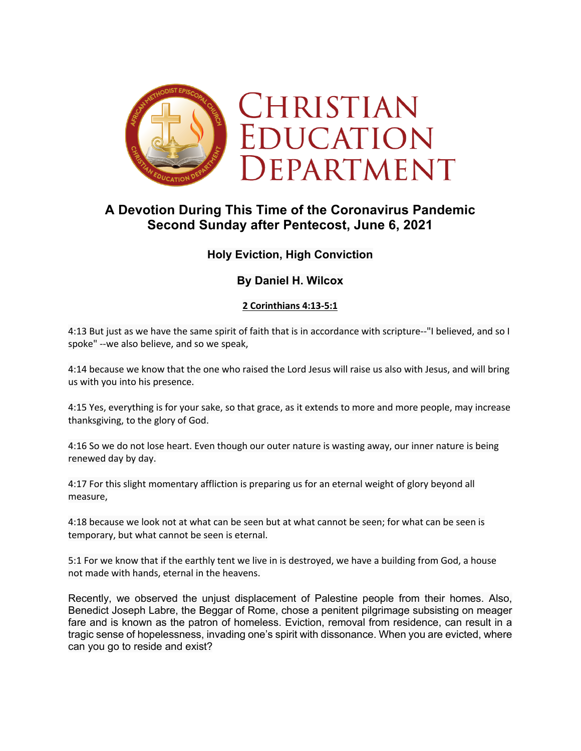

# **A Devotion During This Time of the Coronavirus Pandemic Second Sunday after Pentecost, June 6, 2021**

# **Holy Eviction, High Conviction**

# **By Daniel H. Wilcox**

## **2 Corinthians 4:13-5:1**

4:13 But just as we have the same spirit of faith that is in accordance with scripture--"I believed, and so I spoke" --we also believe, and so we speak,

4:14 because we know that the one who raised the Lord Jesus will raise us also with Jesus, and will bring us with you into his presence.

4:15 Yes, everything is for your sake, so that grace, as it extends to more and more people, may increase thanksgiving, to the glory of God.

4:16 So we do not lose heart. Even though our outer nature is wasting away, our inner nature is being renewed day by day.

4:17 For this slight momentary affliction is preparing us for an eternal weight of glory beyond all measure,

4:18 because we look not at what can be seen but at what cannot be seen; for what can be seen is temporary, but what cannot be seen is eternal.

5:1 For we know that if the earthly tent we live in is destroyed, we have a building from God, a house not made with hands, eternal in the heavens.

Recently, we observed the unjust displacement of Palestine people from their homes. Also, Benedict Joseph Labre, the Beggar of Rome, chose a penitent pilgrimage subsisting on meager fare and is known as the patron of homeless. Eviction, removal from residence, can result in a tragic sense of hopelessness, invading one's spirit with dissonance. When you are evicted, where can you go to reside and exist?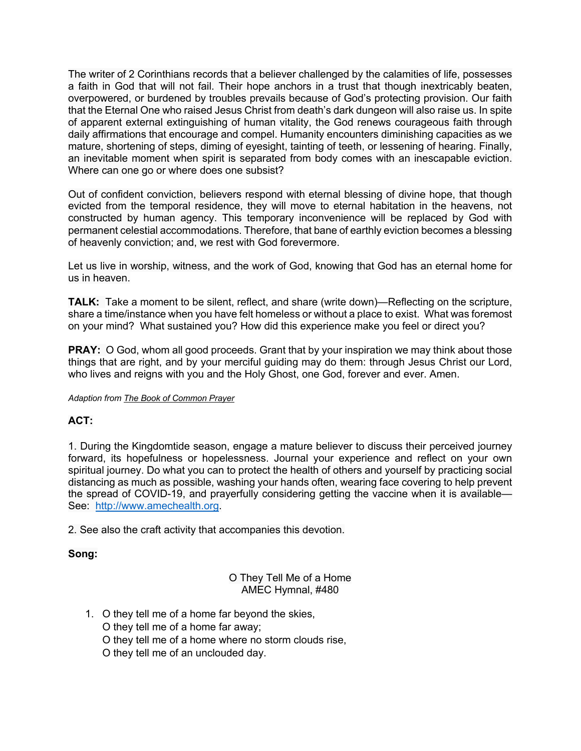The writer of 2 Corinthians records that a believer challenged by the calamities of life, possesses a faith in God that will not fail. Their hope anchors in a trust that though inextricably beaten, overpowered, or burdened by troubles prevails because of God's protecting provision. Our faith that the Eternal One who raised Jesus Christ from death's dark dungeon will also raise us. In spite of apparent external extinguishing of human vitality, the God renews courageous faith through daily affirmations that encourage and compel. Humanity encounters diminishing capacities as we mature, shortening of steps, diming of eyesight, tainting of teeth, or lessening of hearing. Finally, an inevitable moment when spirit is separated from body comes with an inescapable eviction. Where can one go or where does one subsist?

Out of confident conviction, believers respond with eternal blessing of divine hope, that though evicted from the temporal residence, they will move to eternal habitation in the heavens, not constructed by human agency. This temporary inconvenience will be replaced by God with permanent celestial accommodations. Therefore, that bane of earthly eviction becomes a blessing of heavenly conviction; and, we rest with God forevermore.

Let us live in worship, witness, and the work of God, knowing that God has an eternal home for us in heaven.

**TALK:** Take a moment to be silent, reflect, and share (write down)—Reflecting on the scripture, share a time/instance when you have felt homeless or without a place to exist. What was foremost on your mind? What sustained you? How did this experience make you feel or direct you?

**PRAY:** O God, whom all good proceeds. Grant that by your inspiration we may think about those things that are right, and by your merciful guiding may do them: through Jesus Christ our Lord, who lives and reigns with you and the Holy Ghost, one God, forever and ever. Amen.

#### *Adaption from The Book of Common Prayer*

### **ACT:**

1. During the Kingdomtide season, engage a mature believer to discuss their perceived journey forward, its hopefulness or hopelessness. Journal your experience and reflect on your own spiritual journey. Do what you can to protect the health of others and yourself by practicing social distancing as much as possible, washing your hands often, wearing face covering to help prevent the spread of COVID-19, and prayerfully considering getting the vaccine when it is available— See: http://www.amechealth.org.

2. See also the craft activity that accompanies this devotion.

#### **Song:**

#### O They Tell Me of a Home AMEC Hymnal, #480

- 1. O they tell me of a home far beyond the skies, O they tell me of a home far away; O they tell me of a home where no storm clouds rise,
	- O they tell me of an unclouded day.